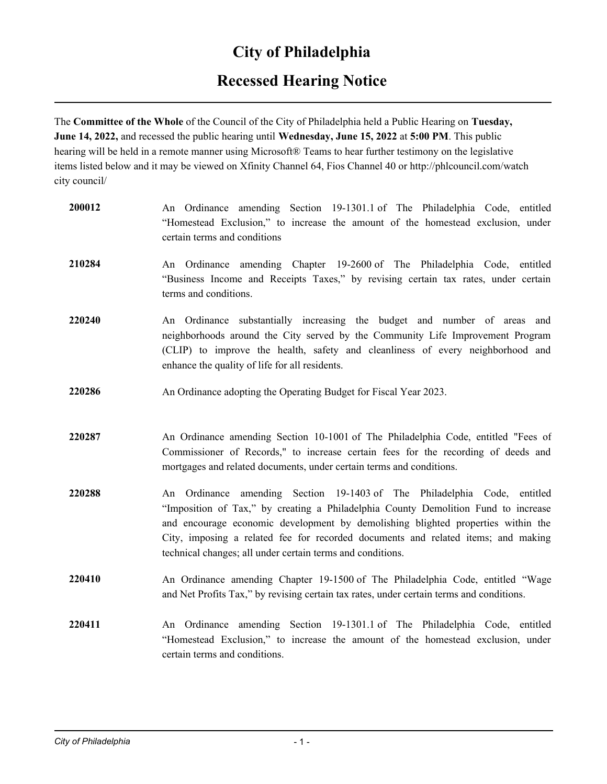## **City of Philadelphia**

## **Recessed Hearing Notice**

The **Committee of the Whole** of the Council of the City of Philadelphia held a Public Hearing on **Tuesday, June 14, 2022,** and recessed the public hearing until **Wednesday, June 15, 2022** at **5:00 PM**. This public hearing will be held in a remote manner using Microsoft® Teams to hear further testimony on the legislative items listed below and it may be viewed on Xfinity Channel 64, Fios Channel 40 or http://phlcouncil.com/watch city council/

| 200012 | An Ordinance amending Section 19-1301.1 of The Philadelphia Code, entitled<br>"Homestead Exclusion," to increase the amount of the homestead exclusion, under<br>certain terms and conditions                                                                                                                                                                                                         |
|--------|-------------------------------------------------------------------------------------------------------------------------------------------------------------------------------------------------------------------------------------------------------------------------------------------------------------------------------------------------------------------------------------------------------|
| 210284 | An Ordinance amending Chapter 19-2600 of The Philadelphia Code, entitled<br>"Business Income and Receipts Taxes," by revising certain tax rates, under certain<br>terms and conditions.                                                                                                                                                                                                               |
| 220240 | An Ordinance substantially increasing the budget and number of areas and<br>neighborhoods around the City served by the Community Life Improvement Program<br>(CLIP) to improve the health, safety and cleanliness of every neighborhood and<br>enhance the quality of life for all residents.                                                                                                        |
| 220286 | An Ordinance adopting the Operating Budget for Fiscal Year 2023.                                                                                                                                                                                                                                                                                                                                      |
| 220287 | An Ordinance amending Section 10-1001 of The Philadelphia Code, entitled "Fees of<br>Commissioner of Records," to increase certain fees for the recording of deeds and<br>mortgages and related documents, under certain terms and conditions.                                                                                                                                                        |
| 220288 | An Ordinance amending Section 19-1403 of The Philadelphia Code, entitled<br>"Imposition of Tax," by creating a Philadelphia County Demolition Fund to increase<br>and encourage economic development by demolishing blighted properties within the<br>City, imposing a related fee for recorded documents and related items; and making<br>technical changes; all under certain terms and conditions. |
| 220410 | An Ordinance amending Chapter 19-1500 of The Philadelphia Code, entitled "Wage<br>and Net Profits Tax," by revising certain tax rates, under certain terms and conditions.                                                                                                                                                                                                                            |
| 220411 | An Ordinance amending Section 19-1301.1 of The Philadelphia Code, entitled<br>"Homestead Exclusion," to increase the amount of the homestead exclusion, under<br>certain terms and conditions.                                                                                                                                                                                                        |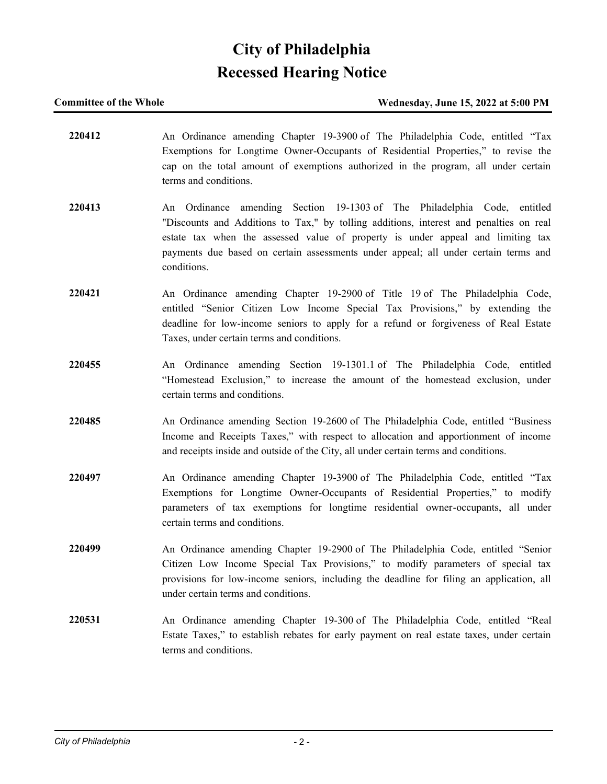# **City of Philadelphia Recessed Hearing Notice**

### **Committee of the Whole Wednesday, June 15, 2022 at 5:00 PM**

**220412** An Ordinance amending Chapter 19-3900 of The Philadelphia Code, entitled "Tax Exemptions for Longtime Owner-Occupants of Residential Properties," to revise the cap on the total amount of exemptions authorized in the program, all under certain terms and conditions. **220413** An Ordinance amending Section 19-1303 of The Philadelphia Code, entitled "Discounts and Additions to Tax," by tolling additions, interest and penalties on real estate tax when the assessed value of property is under appeal and limiting tax payments due based on certain assessments under appeal; all under certain terms and conditions. **220421** An Ordinance amending Chapter 19-2900 of Title 19 of The Philadelphia Code, entitled "Senior Citizen Low Income Special Tax Provisions," by extending the deadline for low-income seniors to apply for a refund or forgiveness of Real Estate Taxes, under certain terms and conditions. **220455** An Ordinance amending Section 19-1301.1 of The Philadelphia Code, entitled "Homestead Exclusion," to increase the amount of the homestead exclusion, under certain terms and conditions. **220485** An Ordinance amending Section 19-2600 of The Philadelphia Code, entitled "Business Income and Receipts Taxes," with respect to allocation and apportionment of income and receipts inside and outside of the City, all under certain terms and conditions. **220497** An Ordinance amending Chapter 19-3900 of The Philadelphia Code, entitled "Tax Exemptions for Longtime Owner-Occupants of Residential Properties," to modify parameters of tax exemptions for longtime residential owner-occupants, all under certain terms and conditions. **220499** An Ordinance amending Chapter 19-2900 of The Philadelphia Code, entitled "Senior Citizen Low Income Special Tax Provisions," to modify parameters of special tax provisions for low-income seniors, including the deadline for filing an application, all under certain terms and conditions. **220531** An Ordinance amending Chapter 19-300 of The Philadelphia Code, entitled "Real Estate Taxes," to establish rebates for early payment on real estate taxes, under certain terms and conditions.